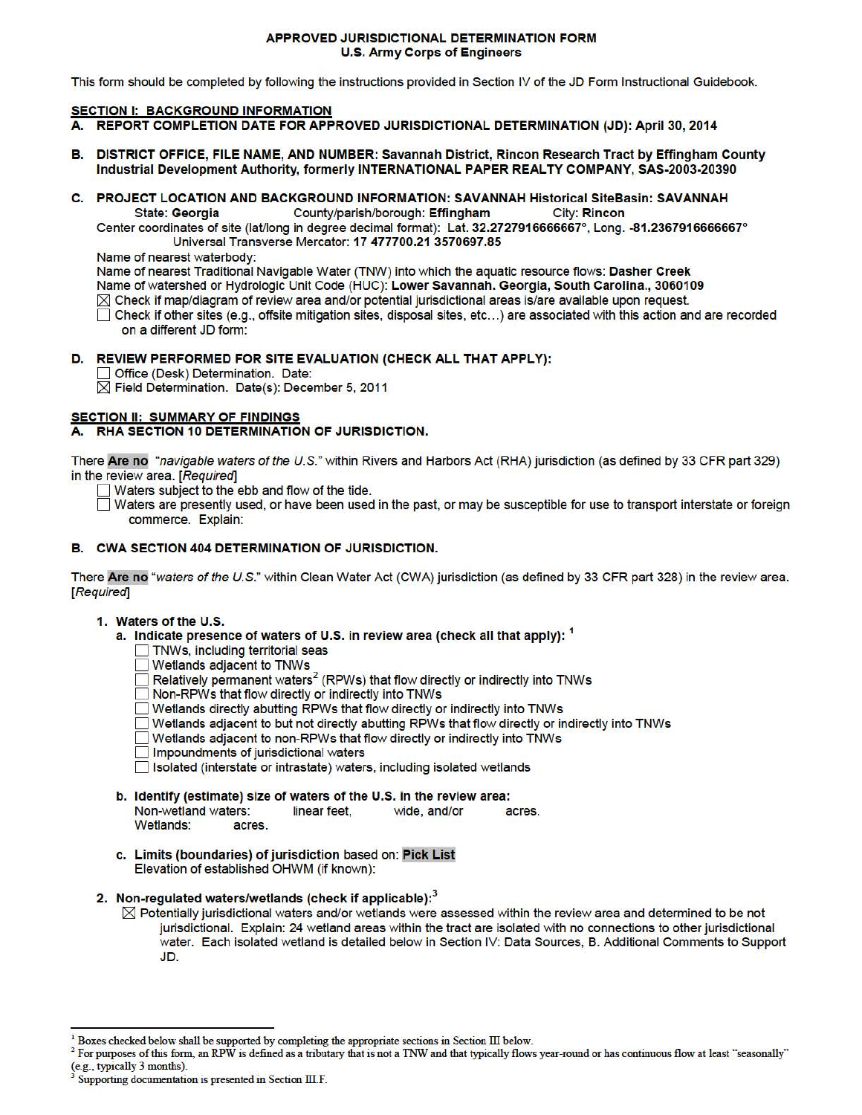#### APPROVED JURISDICTIONAL DETERMINATION FORM U.S. Army Corps of Engineers

This form should be completed by following the instructions provided in Section IV of the JD Form Instructional Guidebook.

## **SECTION I: BACKGROUND INFORMATION**

- A. REPORT COMPLETION DATE FOR APPROVED JURISDICTIONAL DETERMINATION (JD): April 30, 2014
- B. DISTRICT OFFICE, FILE NAME, ANO NUMBER: Savannah District, Rincon Research Tract by Effingham County Industrial Development Authority, formerly INTERNATIONAL PAPER REALTY COMPANY, SAS-2003-20390
- C. PROJECT LOCATION AND BACKGROUND INFORMATION: SAVANNAH Historical SiteBasin: SAVANNAH State: Georgia County/parish/borough: Effingham City: Rincon

Center coordinates of site (lat/long in degree decimal format): Lat. 32.2727916666667°, Long. -81.2367916666667° Universal Transverse Mercator: 17 477700.21 3570697.85

Name of nearest waterbody:

Name of nearest Traditional Navigable Water (TNW) into which the aquatic resource flows: Dasher Creek Name of watershed or Hydrologic Unit Code (HUC): Lower Savannah. Georgia, South Carolina., 3060109  $\boxtimes$  Check if map/diagram of review area and/or potential jurisdictional areas is/are available upon request.

D Check if other sites (e.g., offsite mitigation sites, disposal sites, etc... ) are associated with this action and are recorded on a different JD form:

## D. REVIEW PERFORMED FOR SITE EVALUATION (CHECK ALL THAT APPLY):

Office (Desk) Determination. Date:

 $\overline{\boxtimes}$  Field Determination. Date(s): December 5, 2011

# SECTION II: SUMMARY OF FINDINGS

## A. RHA SECTION 10 DETERMINATION OF JURISDICTION.

There Are no "navigable waters ofthe U.S." within Rivers and Harbors Act (RHA) jurisdiction (as defined by 33 CFR part 329) in the review area. [Required]

- Waters subject to the ebb and flow of the tide.
- D Waters are presently used, or have been used in the past, or may be susceptible for use to transport interstate or foreign commerce. Explain:

## B. CWA SECTION 404 DETERMINATION OF JURISDICTION.

There Are no "waters of the U.S." within Clean Water Act (CWA) jurisdiction (as defined by 33 CFR part 328) in the review area. [Required]

#### 1. Waters of the U.S.

- a. Indicate presence of waters of U.S. in review area (check all that apply): <sup>1</sup>
	- TNWs, including territorial seas
	- Wetlands adjacent to TNWs
	- $\Box$  Relatively permanent waters<sup>2</sup> (RPWs) that flow directly or indirectly into TNWs
	- Non-RPWs that flow directly or indirectly into TNWs
	- D Wetlands directly abutting RPWs that flow directly or indirectly into TNWs
	- D Wetlands adjacent to but not directly abutting RPWs that flow directly or indirectly into TNWs
	- D Wetlands adjacent to non-RPWs that flow directly or indirectly into TNWs
	- **D** Impoundments of jurisdictional waters

D Isolated (interstate or intrastate) waters. including isolated wetlands

- b. Identify (estimate) size of waters of the U.S. in the review area: Non-wetland waters: linear feet, wide, and/or acres. Wetlands: acres.
- c. Limits (boundaries) of jurisdiction based on: Pick List Elevation of established OHWM (if known):
- 2. Non-regulated waters/wetlands (check if applicable): $^3$ 
	- $\boxtimes$  Potentially jurisdictional waters and/or wetlands were assessed within the review area and determined to be not jurisdictional. Explain: 24 wetland areas within the tract are isolated with no connections to other jurisdictional water. Each isolated wetland is detailed below in Section IV: Data Sources, B. Additional Comments to Support JD.

 $1$  Boxes checked below shall be supported by completing the appropriate sections in Section III below.

 $2$  For purposes of this form, an RPW is defined as a tributary that is not a TNW and that typically flows year-round or has continuous flow at least "seasonally" (e.g., typically 3 months).

Supporting documentation is presented in Section III.F.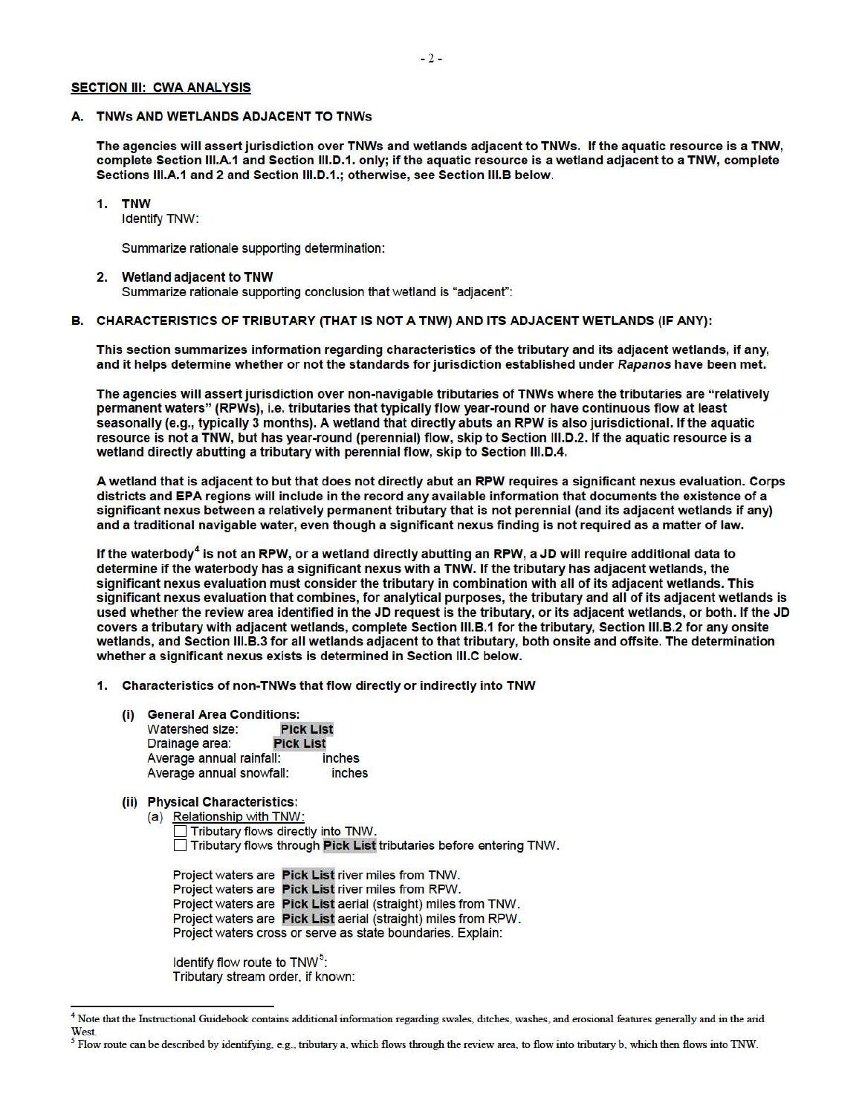## **SECTION III: CWA ANALYSIS**

#### A. TNWs AND WETLANDS ADJACENT TO TNWs

The agencies will assert jurisdiction over TNWs and wetlands adjacent to TNWs. If the aquatic resource is a TNW, complete Section 111.A.1 and Section 111.D.1. only; if the aquatic resource is a wetland adjacent to a TNW, complete Sections 111.A.1 and 2 and Section 111.D.1.; otherwise, see Section 111.B below.

#### **1. TNW**

Identify TNW:

Summarize rationale supporting determination:

#### 2. Wetland adjacent to TNW

Summarize rationale supporting conclusion that wetland is "adjacent":

#### B. CHARACTERISTICS OF TRIBUTARY (THAT IS NOT A TNW) AND ITS ADJACENT WETLANDS (IF ANY):

This section summarizes information regarding characteristics of the tributary and its adjacent wetlands, if any, and it helps determine whether or not the standards for jurisdiction established under Rapanos have been met.

The agencies will assert jurisdiction over non-navigable tributaries of TNWs where the tributaries are "relatively permanent waters" (RPWs), i.e. tributaries that typically flow year-round or have continuous flow at least seasonally (e.g., typically 3 months). A wetland that directly abuts an RPW is also jurisdictional. If the aquatic resource is not a TNW, but has year-round (perennial) flow, skip to Section 111.D.2. If the aquatic resource is a wetland directly abutting a tributary with perennial flow, skip to Section 111.D.4.

A wetland that is adjacent to but that does not directly abut an RPW requires a significant nexus evaluation. Corps districts and EPA regions will include in the record any available information that documents the existence of a significant nexus between a relatively permanent tributary that is not perennial (and its adjacent wetlands if any) and a traditional navigable water, even though a significant nexus finding is not required as a matter of law.

If the waterbody<sup>4</sup> is not an RPW, or a wetland directly abutting an RPW, a JD will require additional data to determine if the waterbody has a significant nexus with a TNW. If the tributary has adjacent wetlands, the significant nexus evaluation must consider the tributary in combination with all of its adjacent wetlands. This significant nexus evaluation that combines, for analytical purposes, the tributary and all of its adjacent wetlands is used whether the review area identified in the JD request is the tributary, or its adjacent wetlands, or both. If the JD covers a tributary with adjacent wetlands, complete Section 111.B.1 for the tributary, Section 111.B.2 for any onsite wetlands, and Section 111.B.3 for all wetlands adjacent to that tributary, both onsite and offsite. The determination whether a significant nexus exists is determined in Section 111.C below.

- 1. Characteristics of non-TNWs that flow directly or indirectly into TNW
	- (i) General Area Conditions:<br>4. Watershed size: Pick List Watershed size: Drainage area: **Pick List** Average annual rainfall: inches Average annual snowfall: inches
	- (ii) Physical Characteristics:
		- (a) Relationship with TNW: Tributary flows directly into TNW. D Tributary flows through Pick List tributaries before entering TNW.

Project waters are Pick List river miles from TNW. Project waters are Pick List river miles from RPW. Project waters are Pick List aerial (straight) miles from TNW. Project waters are Pick List aerial (straight) miles from RPW. Project waters cross or serve as state boundaries. Explain:

Identify flow route to  $TNW<sup>5</sup>$ : Tributary stream order, if known:

<sup>&</sup>lt;sup>4</sup> Note that the Instructional Guidebook contains additional information regarding swales, ditches, washes, and erosional features generally and in the arid West.

*<sup>5</sup>* Flow route can be described by identifying, e.g., tributary a, which flows through the review area, to flow into tributary b, which then flows into 1NW.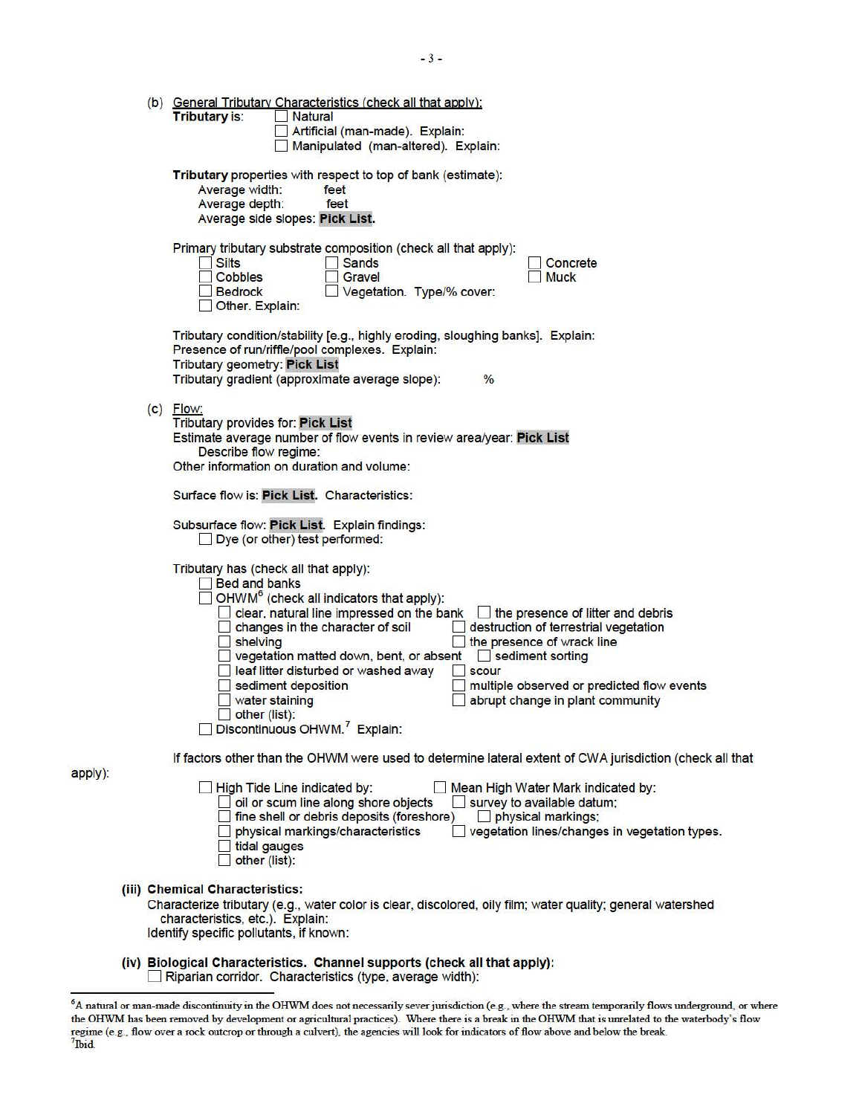|         |  | (b) General Tributary Characteristics (check all that apply):<br>Tributary is:<br>Natural<br>Artificial (man-made). Explain:<br>Manipulated (man-altered). Explain:                                                                                                                                                                                                                                                                                                                                                                                                                                                                                       |
|---------|--|-----------------------------------------------------------------------------------------------------------------------------------------------------------------------------------------------------------------------------------------------------------------------------------------------------------------------------------------------------------------------------------------------------------------------------------------------------------------------------------------------------------------------------------------------------------------------------------------------------------------------------------------------------------|
|         |  | Tributary properties with respect to top of bank (estimate):<br>Average width:<br>feet<br>Average depth:<br>feet<br>Average side slopes: Pick List.                                                                                                                                                                                                                                                                                                                                                                                                                                                                                                       |
|         |  | Primary tributary substrate composition (check all that apply):<br><b>Silts</b><br><b>Sands</b><br>Concrete<br>Cobbles<br>Gravel<br><b>Muck</b><br>Vegetation. Type/% cover:<br><b>Bedrock</b><br>Other. Explain:                                                                                                                                                                                                                                                                                                                                                                                                                                         |
|         |  | Tributary condition/stability [e.g., highly eroding, sloughing banks]. Explain:<br>Presence of run/riffle/pool complexes. Explain:<br><b>Tributary geometry: Pick List</b><br>Tributary gradient (approximate average slope):<br>$\%$                                                                                                                                                                                                                                                                                                                                                                                                                     |
|         |  | $(c)$ Flow:<br><b>Tributary provides for: Pick List</b><br>Estimate average number of flow events in review area/year: Pick List<br>Describe flow regime:<br>Other information on duration and volume:                                                                                                                                                                                                                                                                                                                                                                                                                                                    |
|         |  | Surface flow is: Pick List. Characteristics:                                                                                                                                                                                                                                                                                                                                                                                                                                                                                                                                                                                                              |
|         |  | Subsurface flow: Pick List. Explain findings:<br>Dye (or other) test performed:                                                                                                                                                                                                                                                                                                                                                                                                                                                                                                                                                                           |
|         |  | Tributary has (check all that apply):<br><b>Bed and banks</b><br>OHWM <sup>6</sup> (check all indicators that apply):<br>$\Box$ clear, natural line impressed on the bank $\Box$<br>the presence of litter and debris<br>destruction of terrestrial vegetation<br>changes in the character of soil<br>shelving<br>the presence of wrack line<br>vegetation matted down, bent, or absent Sediment sorting<br>leaf litter disturbed or washed away<br><b>scour</b><br>sediment deposition<br>multiple observed or predicted flow events<br>water staining<br>abrupt change in plant community<br>other (list):<br>Discontinuous OHWM. <sup>7</sup> Explain: |
|         |  | If factors other than the OHWM were used to determine lateral extent of CWA jurisdiction (check all that                                                                                                                                                                                                                                                                                                                                                                                                                                                                                                                                                  |
| apply): |  | High Tide Line indicated by:<br>Mean High Water Mark indicated by:<br>oil or scum line along shore objects<br>survey to available datum;<br>fine shell or debris deposits (foreshore)<br>physical markings;<br>physical markings/characteristics<br>vegetation lines/changes in vegetation types.<br>tidal gauges<br>other (list):                                                                                                                                                                                                                                                                                                                        |
|         |  | (iii) Chemical Characteristics:<br>Characterize tributary (e.g., water color is clear, discolored, oily film; water quality; general watershed<br>characteristics, etc.). Explain:<br>Identify specific pollutants, if known:                                                                                                                                                                                                                                                                                                                                                                                                                             |
|         |  | (iv) Biological Characteristics. Channel supports (check all that apply):<br>Riparian corridor. Characteristics (type, average width):                                                                                                                                                                                                                                                                                                                                                                                                                                                                                                                    |

<sup>&</sup>lt;sup>6</sup>A natural or man-made discontinuity in the OHWM does not necessarily sever jurisdiction (e.g., where the stream temporarily flows underground, or where<br>the OHWM has been removed by development or agricultural practices) regime (e.g., flow over a rock outcrop or through a culvert), the agencies will look for indicators of flow above and below the break.<br><sup>7</sup>Ibid.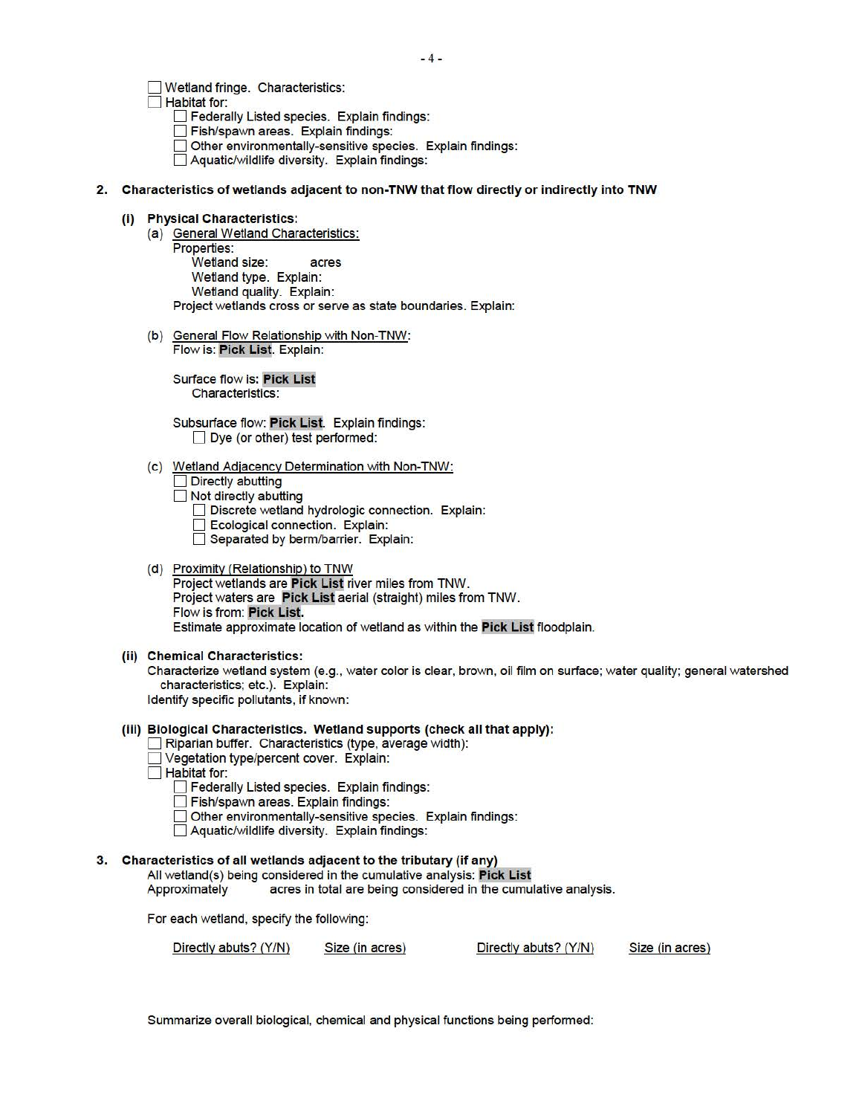D Wetland fringe. Characteristics:

 $\Box$  Habitat for:

- **Federally Listed species. Explain findings:**
- Fish/spawn areas. Explain findings:
- Other environmentally-sensitive species. Explain findings:
- D Aquatic/wildlife diversity. Explain findings:
- 2. Characteristics of wetlands adjacent to non-TNW that flow directly or indirectly into TNW
	- (i) Physical Characteristics:
		- (a) General Wetland Characteristics: Properties: Wetland size: acres Wetland type. Explain: Wetland quality. Explain: Project wetlands cross or serve as state boundaries. Explain:
		- (b) General Flow Relationship with Non-TNW: Flow is: Pick List. Explain:

Surface flow is: Pick List Characteristics:

Subsurface flow: Pick List. Explain findings:  $\Box$  Dye (or other) test performed:

(c) Wetland Adjacency Determination with Non-TNW:

 $\Box$  Directly abutting

- $\Box$  Not directly abutting
	- Discrete wetland hydrologic connection. Explain:
	- **Ecological connection. Explain:**
	- Separated by berm/barrier. Explain:

# (d) Proximity (Relationship) to TNW

Project wetlands are Pick List river miles from TNW. Project waters are Pick List aerial (straight) miles from TNW. Flow is from: Pick List. Estimate approximate location of wetland as within the Pick List floodplain.

(ii) Chemical Characteristics:

Characterize wetland system (e.g., water color is clear, brown, oil film on surface; water quality; general watershed characteristics; etc.). Explain: Identify specific pollutants, if known:

#### (iii) Biological Characteristics. Wetland supports (check all that apply):

- D Riparian buffer. Characteristics (type, average width):
- Vegetation type/percent cover. Explain:

**Habitat for:** 

- **Pederally Listed species. Explain findings:**
- Fish/spawn areas. Explain findings:
- Other environmentally-sensitive species. Explain findings:
- D Aquatic/wildlife diversity. Explain findings:

#### 3. Characteristics of all wetlands adjacent to the tributary (if any)

All wetland(s) being considered in the cumulative analysis: Pick List

Approximately acres in total are being considered in the cumulative analysis.

For each wetland, specify the following:

| Directly abuts? (Y/N) | Size (in acres) | Directly abuts? (Y/N) | Size (in acres) |
|-----------------------|-----------------|-----------------------|-----------------|
|-----------------------|-----------------|-----------------------|-----------------|

Summarize overall biological, chemical and physical functions being performed: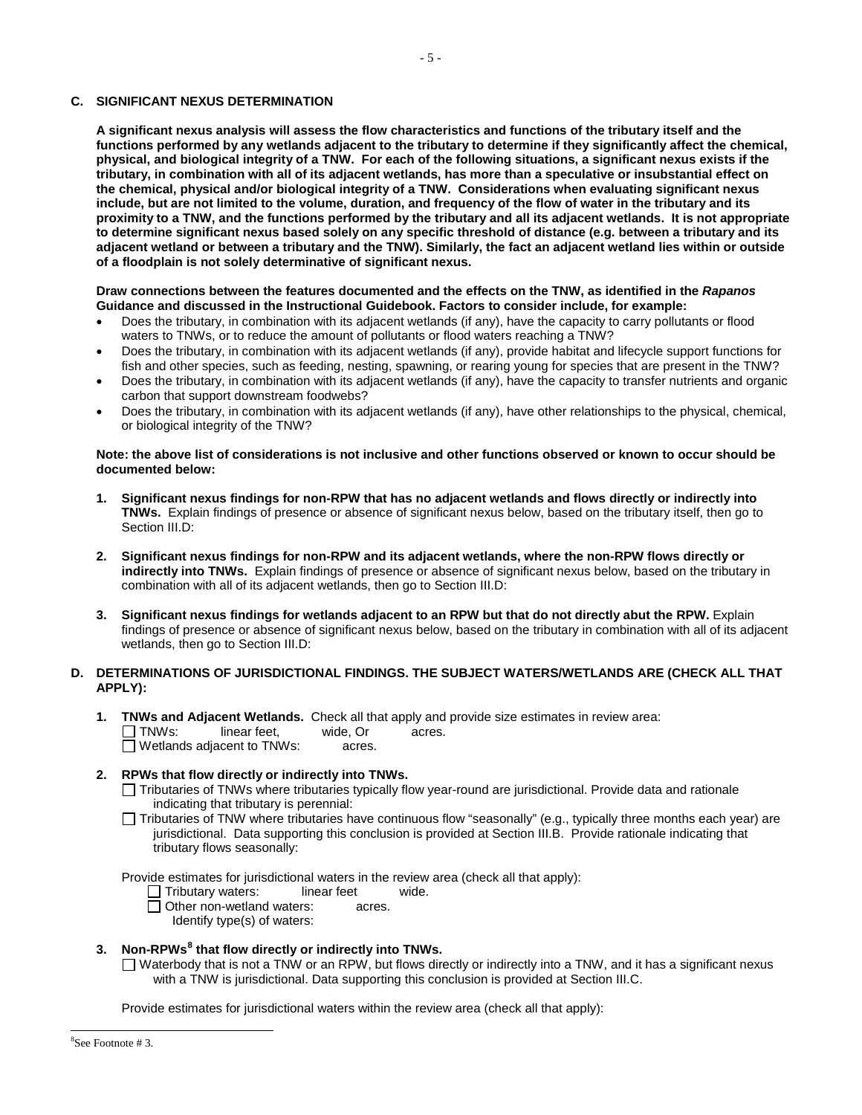#### **C. SIGNIFICANT NEXUS DETERMINATION**

 **A significant nexus analysis will assess the flow characteristics and functions of the tributary itself and the tributary, in combination with all of its adjacent wetlands, has more than a speculative or insubstantial effect on the chemical, physical and/or biological integrity of a TNW. Considerations when evaluating significant nexus include, but are not limited to the volume, duration, and frequency of the flow of water in the tributary and its proximity to a TNW, and the functions performed by the tributary and all its adjacent wetlands. It is not appropriate**  of a floodplain is not solely determinative of significant nexus. **functions performed by any wetlands adjacent to the tributary to determine if they significantly affect the chemical, physical, and biological integrity of a TNW. For each of the following situations, a significant nexus exists if the to determine significant nexus based solely on any specific threshold of distance (e.g. between a tributary and its adjacent wetland or between a tributary and the TNW). Similarly, the fact an adjacent wetland lies within or outside** 

#### Draw connections between the features documented and the effects on the TNW, as identified in the *Rapanos* **Guidance and discussed in the Instructional Guidebook. Factors to consider include, for example:**

- waters to TNWs, or to reduce the amount of pollutants or flood waters reaching a TNW? Does the tributary, in combination with its adjacent wetlands (if any), have the capacity to carry pollutants or flood
- fish and other species, such as feeding, nesting, spawning, or rearing young for species that are present in the TNW? Does the tributary, in combination with its adjacent wetlands (if any), provide habitat and lifecycle support functions for
- Does the tributary, in combination with its adjacent wetlands (if any), have the capacity to transfer nutrients and organic carbon that support downstream foodwebs?
- • Does the tributary, in combination with its adjacent wetlands (if any), have other relationships to the physical, chemical, or biological integrity of the TNW?

#### **Note: the above list of considerations is not inclusive and other functions observed or known to occur should be documented below:**

- **1. Significant nexus findings for non-RPW that has no adjacent wetlands and flows directly or indirectly into TNWs.** Explain findings of presence or absence of significant nexus below, based on the tributary itself, then go to Section III.D:
- combination with all of its adjacent wetlands, then go to Section III.D: **2. Significant nexus findings for non-RPW and its adjacent wetlands, where the non-RPW flows directly or indirectly into TNWs.** Explain findings of presence or absence of significant nexus below, based on the tributary in
- findings of presence or absence of significant nexus below, based on the tributary in combination with all of its adjacent **3. Significant nexus findings for wetlands adjacent to an RPW but that do not directly abut the RPW.** Explain wetlands, then go to Section III.D:

## **D. DETERMINATIONS OF JURISDICTIONAL FINDINGS. THE SUBJECT WATERS/WETLANDS ARE (CHECK ALL THAT APPLY):**

**1. TNWs and Adjacent Wetlands.** Check all that apply and provide size estimates in review area:<br>
TNWs: linear feet. wide. Or acres. linear feet. wide, Or acres. □ Wetlands adjacent to TNWs: acres.

## **2. RPWs that flow directly or indirectly into TNWs.**

- Tributaries of TNWs where tributaries typically flow year-round are jurisdictional. Provide data and rationale indicating that tributary is perennial:
- Tributaries of TNW where tributaries have continuous flow "seasonally" (e.g., typically three months each year) are jurisdictional. Data supporting this conclusion is provided at Section III.B. Provide rationale indicating that tributary flows seasonally:

Provide estimates for jurisdictional waters in the review area (check all that apply):

 Tributary waters: linear feet wide.

Other non-wetland waters: acres.

Identify type(s) of waters:

#### **3. Non-RPWs8 that flow directly or indirectly into TNWs.**

 $\Box$  Waterbody that is not a TNW or an RPW, but flows directly or indirectly into a TNW, and it has a significant nexus with a TNW is jurisdictional. Data supporting this conclusion is provided at Section III.C.

Provide estimates for jurisdictional waters within the review area (check all that apply):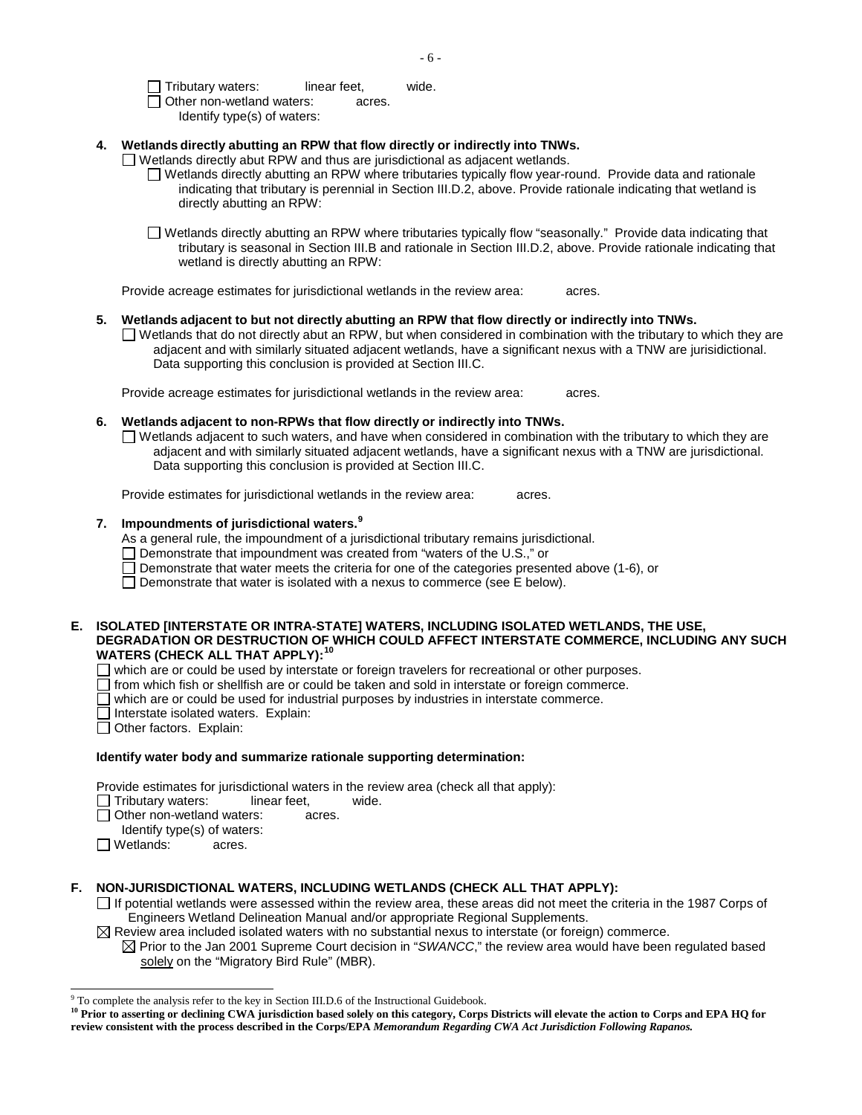$\Box$  Tributary waters: linear feet, wide. □ Other non-wetland waters: acres.

Identify type(s) of waters:

## **4. Wetlands directly abutting an RPW that flow directly or indirectly into TNWs.**

 $\Box$  Wetlands directly abut RPW and thus are jurisdictional as adjacent wetlands.

- $\Box$  Wetlands directly abutting an RPW where tributaries typically flow year-round. Provide data and rationale indicating that tributary is perennial in Section III.D.2, above. Provide rationale indicating that wetland is directly abutting an RPW:
- Wetlands directly abutting an RPW where tributaries typically flow "seasonally." Provide data indicating that tributary is seasonal in Section III.B and rationale in Section III.D.2, above. Provide rationale indicating that wetland is directly abutting an RPW:

 Provide acreage estimates for jurisdictional wetlands in the review area: acres.

#### **5. Wetlands adjacent to but not directly abutting an RPW that flow directly or indirectly into TNWs.**

 $\Box$  Wetlands that do not directly abut an RPW, but when considered in combination with the tributary to which they are adjacent and with similarly situated adjacent wetlands, have a significant nexus with a TNW are jurisidictional. Data supporting this conclusion is provided at Section III.C.

 Provide acreage estimates for jurisdictional wetlands in the review area: acres.

**6. Wetlands adjacent to non-RPWs that flow directly or indirectly into TNWs.** 

 $\Box$  Wetlands adjacent to such waters, and have when considered in combination with the tributary to which they are adjacent and with similarly situated adjacent wetlands, have a significant nexus with a TNW are jurisdictional. Data supporting this conclusion is provided at Section III.C.

Provide estimates for jurisdictional wetlands in the review area: acres.

# **7. Impoundments of jurisdictional waters. 9**

As a general rule, the impoundment of a jurisdictional tributary remains jurisdictional.

 $\Box$  Demonstrate that impoundment was created from "waters of the U.S.," or

 $\Box$  Demonstrate that water meets the criteria for one of the categories presented above (1-6), or

Demonstrate that water is isolated with a nexus to commerce (see  $E$  below).

### **E. ISOLATED [INTERSTATE OR INTRA-STATE] WATERS, INCLUDING ISOLATED WETLANDS, THE USE, DEGRADATION OR DESTRUCTION OF WHICH COULD AFFECT INTERSTATE COMMERCE, INCLUDING ANY SUCH WATERS (CHECK ALL THAT APPLY):<sup>10</sup>**

 $\Box$  which are or could be used by interstate or foreign travelers for recreational or other purposes.

- $\Box$ from which fish or shellfish are or could be taken and sold in interstate or foreign commerce.
- which are or could be used for industrial purposes by industries in interstate commerce.
- Interstate isolated waters. Explain:
- Other factors. Explain:

#### **Identify water body and summarize rationale supporting determination:**

Provide estimates for jurisdictional waters in the review area (check all that apply):

- $\Box$  Tributary waters: linear feet, wide.
	- Other non-wetland waters: acres.
- Identify type(s) of waters:
- Wetlands: acres.

j

# **F. NON-JURISDICTIONAL WATERS, INCLUDING WETLANDS (CHECK ALL THAT APPLY):**

 $\Box$  If potential wetlands were assessed within the review area, these areas did not meet the criteria in the 1987 Corps of Engineers Wetland Delineation Manual and/or appropriate Regional Supplements.

 $\boxtimes$  Review area included isolated waters with no substantial nexus to interstate (or foreign) commerce.

 $\boxtimes$  Prior to the Jan 2001 Supreme Court decision in "*SWANCC*," the review area would have been regulated based solely on the "Migratory Bird Rule" (MBR).

<sup>&</sup>lt;sup>9</sup> To complete the analysis refer to the key in Section III.D.6 of the Instructional Guidebook.

<sup>&</sup>lt;sup>10</sup> Prior to asserting or declining CWA jurisdiction based solely on this category, Corps Districts will elevate the action to Corps and EPA HQ for  **review consistent with the process described in the Corps/EPA** *Memorandum Regarding CWA Act Jurisdiction Following Rapanos.*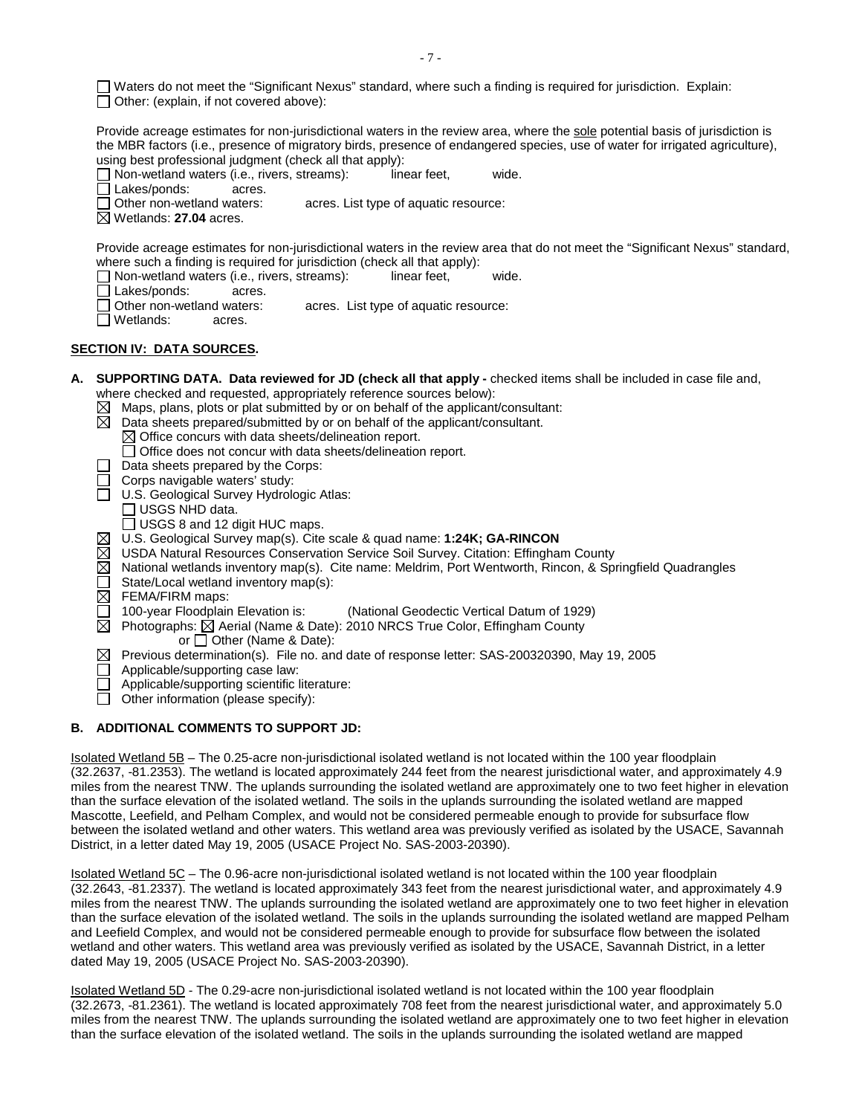Waters do not meet the "Significant Nexus" standard, where such a finding is required for jurisdiction. Explain:  $\Box$  Other: (explain, if not covered above):

 the MBR factors (i.e., presence of migratory birds, presence of endangered species, use of water for irrigated agriculture), Provide acreage estimates for non-jurisdictional waters in the review area, where the sole potential basis of jurisdiction is using best professional judgment (check all that apply):<br>  $\Box$  Non-wetland waters (i.e., rivers, streams): linear feet.

 $\Box$  Non-wetland waters (i.e., rivers, streams): linear feet, wide.

□ Lakes/ponds: acres.<br>□ Other non-wetland waters:

acres. List type of aquatic resource:

Wetlands: **27.04** acres.

Provide acreage estimates for non-jurisdictional waters in the review area that do not meet the "Significant Nexus" standard, where such a finding is required for jurisdiction (check all that apply):<br>  $\Box$  Non-wetland waters (i.e., rivers, streams): linear feet,

- Non-wetland waters (i.e., rivers, streams): linear feet, wide.
- Lakes/ponds: acres.
- Other non-wetland waters: acres. List type of aquatic resource:
- □ Wetlands: acres.

## **SECTION IV: DATA SOURCES.**

- where checked and requested, appropriately reference sources below): **A. SUPPORTING DATA. Data reviewed for JD (check all that apply -** checked items shall be included in case file and,
	- Maps, plans, plots or plat submitted by or on behalf of the applicant/consultant:
	- ⊠ Data sheets prepared/submitted by or on behalf of the applicant/consultant.
		- $\boxtimes$  Office concurs with data sheets/delineation report.
			- Office does not concur with data sheets/delineation report.
	- $\Box$  Data sheets prepared by the Corps:
	- $\Box$  Corps navigable waters' study:
	- □ U.S. Geological Survey Hydrologic Atlas:
		- USGS NHD data.
		- $\Box$  USGS 8 and 12 digit HUC maps.
	- U.S. Geological Survey map(s). Cite scale & quad name: **1:24K; GA-RINCON**
	- USDA Natural Resources Conservation Service Soil Survey. Citation: Effingham County
	- $\boxtimes$  National wetlands inventory map(s). Cite name: Meldrim, Port Wentworth, Rincon, & Springfield Quadrangles
	- State/Local wetland inventory map(s):  $\Box$
	-
	- $\overline{\boxtimes}$  FEMA/FIRM maps:<br> $\Box$  100-year Floodplain Elevation is: (National Geodectic Vertical Datum of 1929)
		- Photographs: ⊠ Aerial (Name & Date): 2010 NRCS True Color, Effingham County
			- or  $\Box$  Other (Name & Date):
	- Previous determination(s). File no. and date of response letter: SAS-200320390, May 19, 2005 ⊠
	- Applicable/supporting case law:
	- Applicable/supporting scientific literature:
	- $\Box$  Other information (please specify):

#### **B. ADDITIONAL COMMENTS TO SUPPORT JD:**

 Isolated Wetland 5B – The 0.25-acre non-jurisdictional isolated wetland is not located within the 100 year floodplain (32.2637, -81.2353). The wetland is located approximately 244 feet from the nearest jurisdictional water, and approximately 4.9 miles from the nearest TNW. The uplands surrounding the isolated wetland are approximately one to two feet higher in elevation than the surface elevation of the isolated wetland. The soils in the uplands surrounding the isolated wetland are mapped Mascotte, Leefield, and Pelham Complex, and would not be considered permeable enough to provide for subsurface flow between the isolated wetland and other waters. This wetland area was previously verified as isolated by the USACE, Savannah District, in a letter dated May 19, 2005 (USACE Project No. SAS-2003-20390).

Isolated Wetland 5C – The 0.96-acre non-jurisdictional isolated wetland is not located within the 100 year floodplain (32.2643, -81.2337). The wetland is located approximately 343 feet from the nearest jurisdictional water, and approximately 4.9 miles from the nearest TNW. The uplands surrounding the isolated wetland are approximately one to two feet higher in elevation than the surface elevation of the isolated wetland. The soils in the uplands surrounding the isolated wetland are mapped Pelham and Leefield Complex, and would not be considered permeable enough to provide for subsurface flow between the isolated wetland and other waters. This wetland area was previously verified as isolated by the USACE, Savannah District, in a letter dated May 19, 2005 (USACE Project No. SAS-2003-20390).

Isolated Wetland 5D - The 0.29-acre non-jurisdictional isolated wetland is not located within the 100 year floodplain (32.2673, -81.2361). The wetland is located approximately 708 feet from the nearest jurisdictional water, and approximately 5.0 miles from the nearest TNW. The uplands surrounding the isolated wetland are approximately one to two feet higher in elevation than the surface elevation of the isolated wetland. The soils in the uplands surrounding the isolated wetland are mapped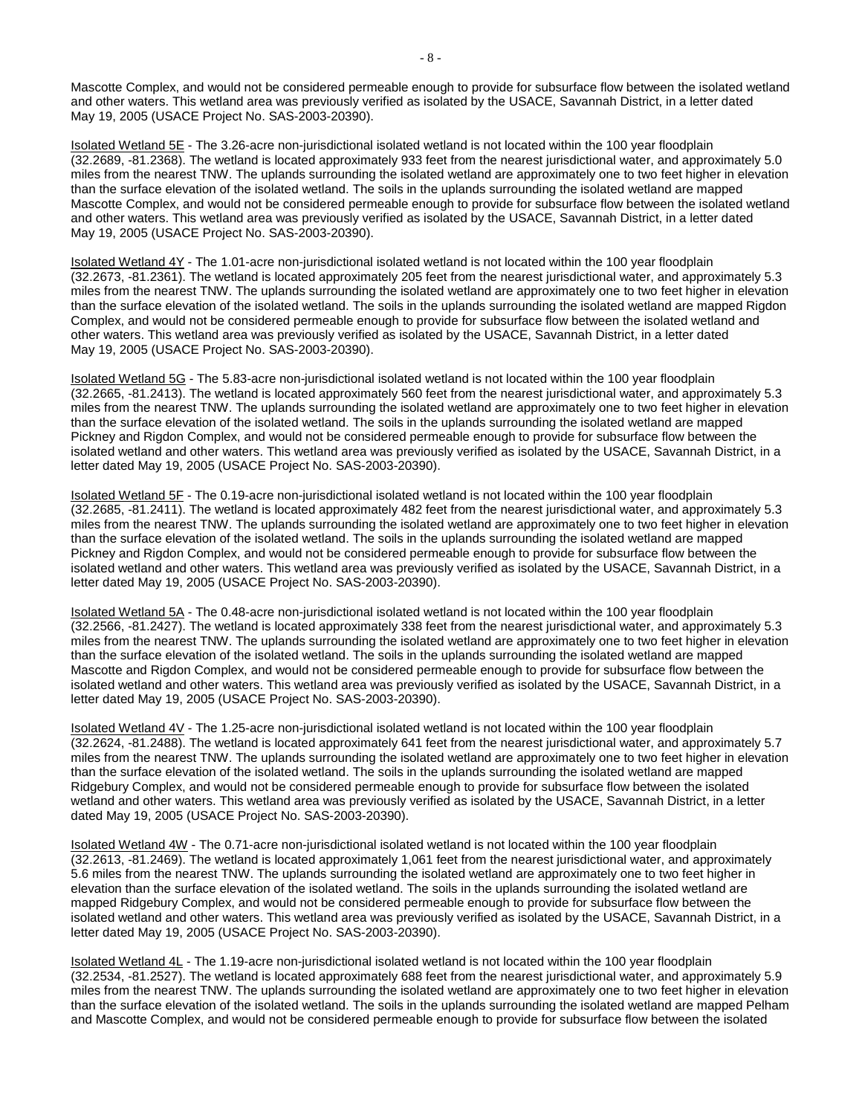and other waters. This wetland area was previously verified as isolated by the USACE, Savannah District, in a letter dated Mascotte Complex, and would not be considered permeable enough to provide for subsurface flow between the isolated wetland May 19, 2005 (USACE Project No. SAS-2003-20390).

 Isolated Wetland 5E - The 3.26-acre non-jurisdictional isolated wetland is not located within the 100 year floodplain and other waters. This wetland area was previously verified as isolated by the USACE, Savannah District, in a letter dated (32.2689, -81.2368). The wetland is located approximately 933 feet from the nearest jurisdictional water, and approximately 5.0 miles from the nearest TNW. The uplands surrounding the isolated wetland are approximately one to two feet higher in elevation than the surface elevation of the isolated wetland. The soils in the uplands surrounding the isolated wetland are mapped Mascotte Complex, and would not be considered permeable enough to provide for subsurface flow between the isolated wetland May 19, 2005 (USACE Project No. SAS-2003-20390).

Isolated Wetland 4Y - The 1.01-acre non-jurisdictional isolated wetland is not located within the 100 year floodplain (32.2673, -81.2361). The wetland is located approximately 205 feet from the nearest jurisdictional water, and approximately 5.3 miles from the nearest TNW. The uplands surrounding the isolated wetland are approximately one to two feet higher in elevation than the surface elevation of the isolated wetland. The soils in the uplands surrounding the isolated wetland are mapped Rigdon Complex, and would not be considered permeable enough to provide for subsurface flow between the isolated wetland and other waters. This wetland area was previously verified as isolated by the USACE, Savannah District, in a letter dated May 19, 2005 (USACE Project No. SAS-2003-20390).

Isolated Wetland 5G - The 5.83-acre non-jurisdictional isolated wetland is not located within the 100 year floodplain (32.2665, -81.2413). The wetland is located approximately 560 feet from the nearest jurisdictional water, and approximately 5.3 miles from the nearest TNW. The uplands surrounding the isolated wetland are approximately one to two feet higher in elevation than the surface elevation of the isolated wetland. The soils in the uplands surrounding the isolated wetland are mapped Pickney and Rigdon Complex, and would not be considered permeable enough to provide for subsurface flow between the isolated wetland and other waters. This wetland area was previously verified as isolated by the USACE, Savannah District, in a letter dated May 19, 2005 (USACE Project No. SAS-2003-20390).

Isolated Wetland 5F - The 0.19-acre non-jurisdictional isolated wetland is not located within the 100 year floodplain (32.2685, -81.2411). The wetland is located approximately 482 feet from the nearest jurisdictional water, and approximately 5.3 miles from the nearest TNW. The uplands surrounding the isolated wetland are approximately one to two feet higher in elevation than the surface elevation of the isolated wetland. The soils in the uplands surrounding the isolated wetland are mapped Pickney and Rigdon Complex, and would not be considered permeable enough to provide for subsurface flow between the isolated wetland and other waters. This wetland area was previously verified as isolated by the USACE, Savannah District, in a letter dated May 19, 2005 (USACE Project No. SAS-2003-20390).

 Isolated Wetland 5A - The 0.48-acre non-jurisdictional isolated wetland is not located within the 100 year floodplain (32.2566, -81.2427). The wetland is located approximately 338 feet from the nearest jurisdictional water, and approximately 5.3 miles from the nearest TNW. The uplands surrounding the isolated wetland are approximately one to two feet higher in elevation than the surface elevation of the isolated wetland. The soils in the uplands surrounding the isolated wetland are mapped Mascotte and Rigdon Complex, and would not be considered permeable enough to provide for subsurface flow between the isolated wetland and other waters. This wetland area was previously verified as isolated by the USACE, Savannah District, in a letter dated May 19, 2005 (USACE Project No. SAS-2003-20390).

 Isolated Wetland 4V - The 1.25-acre non-jurisdictional isolated wetland is not located within the 100 year floodplain (32.2624, -81.2488). The wetland is located approximately 641 feet from the nearest jurisdictional water, and approximately 5.7 miles from the nearest TNW. The uplands surrounding the isolated wetland are approximately one to two feet higher in elevation than the surface elevation of the isolated wetland. The soils in the uplands surrounding the isolated wetland are mapped Ridgebury Complex, and would not be considered permeable enough to provide for subsurface flow between the isolated wetland and other waters. This wetland area was previously verified as isolated by the USACE, Savannah District, in a letter dated May 19, 2005 (USACE Project No. SAS-2003-20390).

Isolated Wetland 4W - The 0.71-acre non-jurisdictional isolated wetland is not located within the 100 year floodplain (32.2613, -81.2469). The wetland is located approximately 1,061 feet from the nearest jurisdictional water, and approximately 5.6 miles from the nearest TNW. The uplands surrounding the isolated wetland are approximately one to two feet higher in elevation than the surface elevation of the isolated wetland. The soils in the uplands surrounding the isolated wetland are mapped Ridgebury Complex, and would not be considered permeable enough to provide for subsurface flow between the isolated wetland and other waters. This wetland area was previously verified as isolated by the USACE, Savannah District, in a letter dated May 19, 2005 (USACE Project No. SAS-2003-20390).

 Isolated Wetland 4L - The 1.19-acre non-jurisdictional isolated wetland is not located within the 100 year floodplain (32.2534, -81.2527). The wetland is located approximately 688 feet from the nearest jurisdictional water, and approximately 5.9 miles from the nearest TNW. The uplands surrounding the isolated wetland are approximately one to two feet higher in elevation than the surface elevation of the isolated wetland. The soils in the uplands surrounding the isolated wetland are mapped Pelham and Mascotte Complex, and would not be considered permeable enough to provide for subsurface flow between the isolated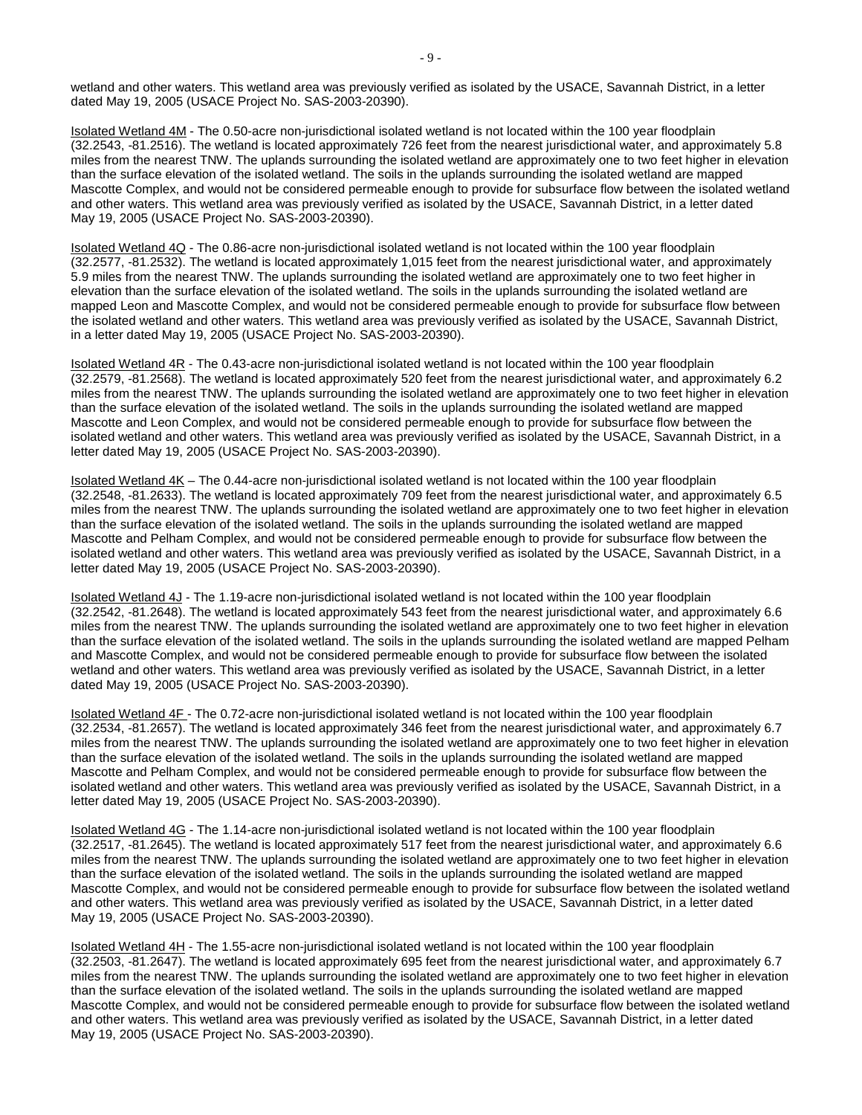wetland and other waters. This wetland area was previously verified as isolated by the USACE, Savannah District, in a letter dated May 19, 2005 (USACE Project No. SAS-2003-20390).

 Isolated Wetland 4M - The 0.50-acre non-jurisdictional isolated wetland is not located within the 100 year floodplain (32.2543, -81.2516). The wetland is located approximately 726 feet from the nearest jurisdictional water, and approximately 5.8 and other waters. This wetland area was previously verified as isolated by the USACE, Savannah District, in a letter dated miles from the nearest TNW. The uplands surrounding the isolated wetland are approximately one to two feet higher in elevation than the surface elevation of the isolated wetland. The soils in the uplands surrounding the isolated wetland are mapped Mascotte Complex, and would not be considered permeable enough to provide for subsurface flow between the isolated wetland May 19, 2005 (USACE Project No. SAS-2003-20390).

 Isolated Wetland 4Q - The 0.86-acre non-jurisdictional isolated wetland is not located within the 100 year floodplain (32.2577, -81.2532). The wetland is located approximately 1,015 feet from the nearest jurisdictional water, and approximately 5.9 miles from the nearest TNW. The uplands surrounding the isolated wetland are approximately one to two feet higher in elevation than the surface elevation of the isolated wetland. The soils in the uplands surrounding the isolated wetland are mapped Leon and Mascotte Complex, and would not be considered permeable enough to provide for subsurface flow between the isolated wetland and other waters. This wetland area was previously verified as isolated by the USACE, Savannah District, in a letter dated May 19, 2005 (USACE Project No. SAS-2003-20390).

 Isolated Wetland 4R - The 0.43-acre non-jurisdictional isolated wetland is not located within the 100 year floodplain (32.2579, -81.2568). The wetland is located approximately 520 feet from the nearest jurisdictional water, and approximately 6.2 miles from the nearest TNW. The uplands surrounding the isolated wetland are approximately one to two feet higher in elevation than the surface elevation of the isolated wetland. The soils in the uplands surrounding the isolated wetland are mapped Mascotte and Leon Complex, and would not be considered permeable enough to provide for subsurface flow between the isolated wetland and other waters. This wetland area was previously verified as isolated by the USACE, Savannah District, in a letter dated May 19, 2005 (USACE Project No. SAS-2003-20390).

 Isolated Wetland 4K – The 0.44-acre non-jurisdictional isolated wetland is not located within the 100 year floodplain (32.2548, -81.2633). The wetland is located approximately 709 feet from the nearest jurisdictional water, and approximately 6.5 miles from the nearest TNW. The uplands surrounding the isolated wetland are approximately one to two feet higher in elevation than the surface elevation of the isolated wetland. The soils in the uplands surrounding the isolated wetland are mapped Mascotte and Pelham Complex, and would not be considered permeable enough to provide for subsurface flow between the isolated wetland and other waters. This wetland area was previously verified as isolated by the USACE, Savannah District, in a letter dated May 19, 2005 (USACE Project No. SAS-2003-20390).

 Isolated Wetland 4J - The 1.19-acre non-jurisdictional isolated wetland is not located within the 100 year floodplain (32.2542, -81.2648). The wetland is located approximately 543 feet from the nearest jurisdictional water, and approximately 6.6 miles from the nearest TNW. The uplands surrounding the isolated wetland are approximately one to two feet higher in elevation than the surface elevation of the isolated wetland. The soils in the uplands surrounding the isolated wetland are mapped Pelham and Mascotte Complex, and would not be considered permeable enough to provide for subsurface flow between the isolated wetland and other waters. This wetland area was previously verified as isolated by the USACE, Savannah District, in a letter dated May 19, 2005 (USACE Project No. SAS-2003-20390).

Isolated Wetland 4F - The 0.72-acre non-jurisdictional isolated wetland is not located within the 100 year floodplain <u>Isolated Wetland 4F -</u> The 0.72-acre non-jurisdictional isolated wetland is not located within the 100 year floodplain<br>(32.2534, -81.2657). The wetland is located approximately 346 feet from the nearest jurisdictional wat miles from the nearest TNW. The uplands surrounding the isolated wetland are approximately one to two feet higher in elevation than the surface elevation of the isolated wetland. The soils in the uplands surrounding the isolated wetland are mapped Mascotte and Pelham Complex, and would not be considered permeable enough to provide for subsurface flow between the isolated wetland and other waters. This wetland area was previously verified as isolated by the USACE, Savannah District, in a letter dated May 19, 2005 (USACE Project No. SAS-2003-20390).

Isolated Wetland 4G - The 1.14-acre non-jurisdictional isolated wetland is not located within the 100 year floodplain (32.2517, -81.2645). The wetland is located approximately 517 feet from the nearest jurisdictional water, and approximately 6.6 Mascotte Complex, and would not be considered permeable enough to provide for subsurface flow between the isolated wetland and other waters. This wetland area was previously verified as isolated by the USACE, Savannah District, in a letter dated miles from the nearest TNW. The uplands surrounding the isolated wetland are approximately one to two feet higher in elevation than the surface elevation of the isolated wetland. The soils in the uplands surrounding the isolated wetland are mapped May 19, 2005 (USACE Project No. SAS-2003-20390).

 Isolated Wetland 4H - The 1.55-acre non-jurisdictional isolated wetland is not located within the 100 year floodplain (32.2503, -81.2647). The wetland is located approximately 695 feet from the nearest jurisdictional water, and approximately 6.7 and other waters. This wetland area was previously verified as isolated by the USACE, Savannah District, in a letter dated miles from the nearest TNW. The uplands surrounding the isolated wetland are approximately one to two feet higher in elevation than the surface elevation of the isolated wetland. The soils in the uplands surrounding the isolated wetland are mapped Mascotte Complex, and would not be considered permeable enough to provide for subsurface flow between the isolated wetland May 19, 2005 (USACE Project No. SAS-2003-20390).